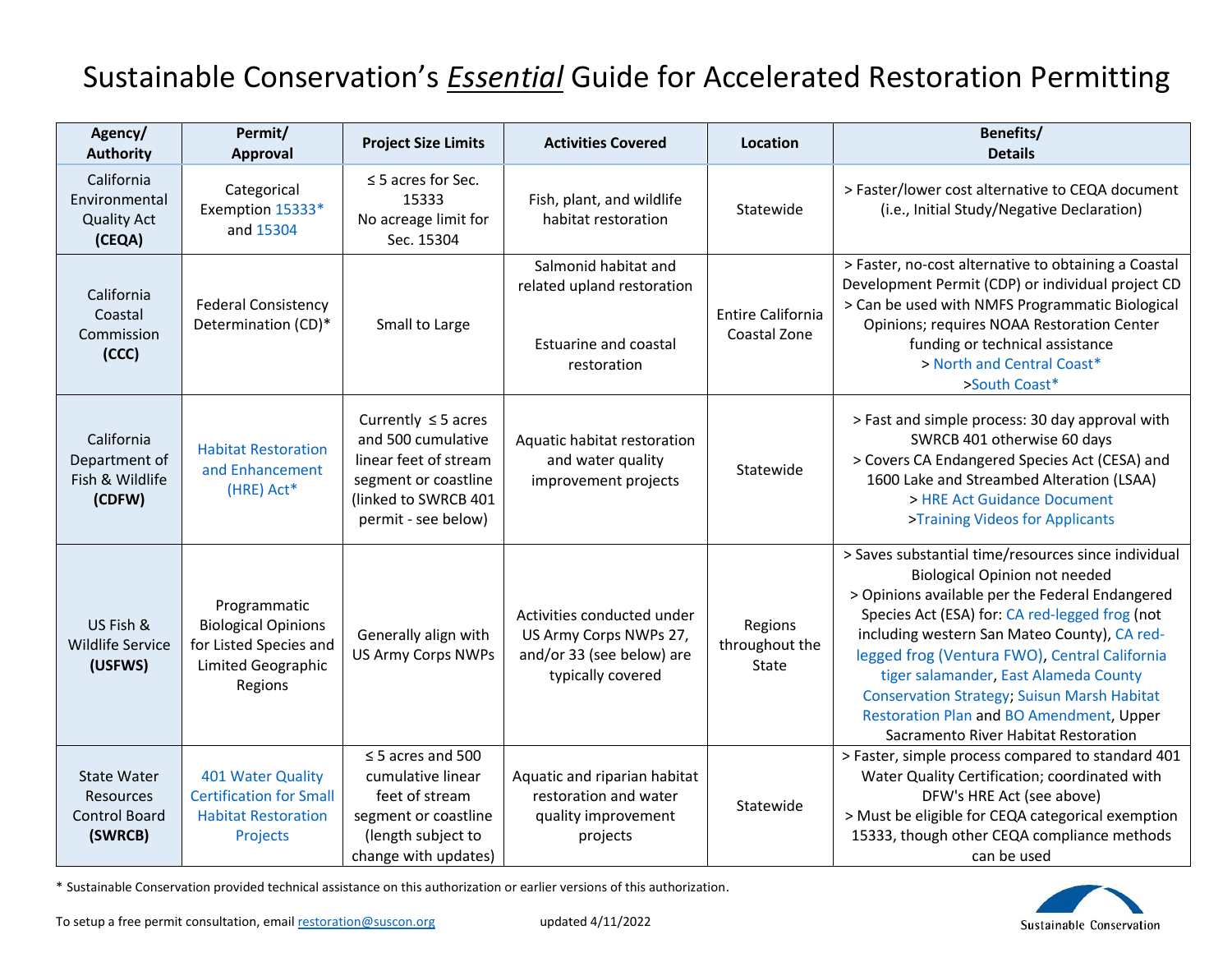## Sustainable Conservation's *Essential* Guide for Accelerated Restoration Permitting

| astamable conservation s'essential calae for hecelerated hestoration i emmeting |                                                                                                       |                                                                                                                                                |                                                                                                        |                                           |                                                                                                                                                                                                                                                                                                                                                                                                                                                                                      |  |  |  |
|---------------------------------------------------------------------------------|-------------------------------------------------------------------------------------------------------|------------------------------------------------------------------------------------------------------------------------------------------------|--------------------------------------------------------------------------------------------------------|-------------------------------------------|--------------------------------------------------------------------------------------------------------------------------------------------------------------------------------------------------------------------------------------------------------------------------------------------------------------------------------------------------------------------------------------------------------------------------------------------------------------------------------------|--|--|--|
| Agency/<br><b>Authority</b>                                                     | Permit/<br>Approval                                                                                   | <b>Project Size Limits</b>                                                                                                                     | <b>Activities Covered</b>                                                                              | Location                                  | Benefits/<br><b>Details</b>                                                                                                                                                                                                                                                                                                                                                                                                                                                          |  |  |  |
| California<br>Environmental<br><b>Quality Act</b><br>(CEQA)                     | Categorical<br>Exemption 15333*<br>and 15304                                                          | $\leq$ 5 acres for Sec.<br>15333<br>No acreage limit for<br>Sec. 15304                                                                         | Fish, plant, and wildlife<br>habitat restoration                                                       | Statewide                                 | > Faster/lower cost alternative to CEQA document<br>(i.e., Initial Study/Negative Declaration)                                                                                                                                                                                                                                                                                                                                                                                       |  |  |  |
| California<br>Coastal<br>Commission<br>(CCC)                                    | <b>Federal Consistency</b><br>Determination (CD)*                                                     | Small to Large                                                                                                                                 | Salmonid habitat and<br>related upland restoration<br><b>Estuarine and coastal</b><br>restoration      | <b>Entire California</b><br>Coastal Zone  | > Faster, no-cost alternative to obtaining a Coastal<br>Development Permit (CDP) or individual project CD<br>> Can be used with NMFS Programmatic Biological<br>Opinions; requires NOAA Restoration Center<br>funding or technical assistance<br>> North and Central Coast*<br>>South Coast*                                                                                                                                                                                         |  |  |  |
| California<br>Department of<br>Fish & Wildlife<br>(CDFW)                        | <b>Habitat Restoration</b><br>and Enhancement<br>(HRE) Act*                                           | Currently $\leq$ 5 acres<br>and 500 cumulative<br>linear feet of stream<br>segment or coastline<br>(linked to SWRCB 401<br>permit - see below) | Aquatic habitat restoration<br>and water quality<br>improvement projects                               | Statewide                                 | > Fast and simple process: 30 day approval with<br>SWRCB 401 otherwise 60 days<br>> Covers CA Endangered Species Act (CESA) and<br>1600 Lake and Streambed Alteration (LSAA)<br>> HRE Act Guidance Document<br>>Training Videos for Applicants                                                                                                                                                                                                                                       |  |  |  |
| US Fish &<br><b>Wildlife Service</b><br>(USFWS)                                 | Programmatic<br><b>Biological Opinions</b><br>for Listed Species and<br>Limited Geographic<br>Regions | Generally align with<br><b>US Army Corps NWPs</b>                                                                                              | Activities conducted under<br>US Army Corps NWPs 27,<br>and/or 33 (see below) are<br>typically covered | Regions<br>throughout the<br><b>State</b> | > Saves substantial time/resources since individual<br><b>Biological Opinion not needed</b><br>> Opinions available per the Federal Endangered<br>Species Act (ESA) for: CA red-legged frog (not<br>including western San Mateo County), CA red-<br>legged frog (Ventura FWO), Central California<br>tiger salamander, East Alameda County<br><b>Conservation Strategy; Suisun Marsh Habitat</b><br>Restoration Plan and BO Amendment, Upper<br>Sacramento River Habitat Restoration |  |  |  |
| <b>State Water</b><br><b>Resources</b><br><b>Control Board</b><br>(SWRCB)       | 401 Water Quality<br><b>Certification for Small</b><br><b>Habitat Restoration</b><br>Projects         | $\leq$ 5 acres and 500<br>cumulative linear<br>feet of stream<br>segment or coastline<br>(length subject to<br>change with updates)            | Aquatic and riparian habitat<br>restoration and water<br>quality improvement<br>projects               | Statewide                                 | > Faster, simple process compared to standard 401<br>Water Quality Certification; coordinated with<br>DFW's HRE Act (see above)<br>> Must be eligible for CEQA categorical exemption<br>15333, though other CEQA compliance methods<br>can be used                                                                                                                                                                                                                                   |  |  |  |

\* Sustainable Conservation provided technical assistance on this authorization or earlier versions of this authorization.